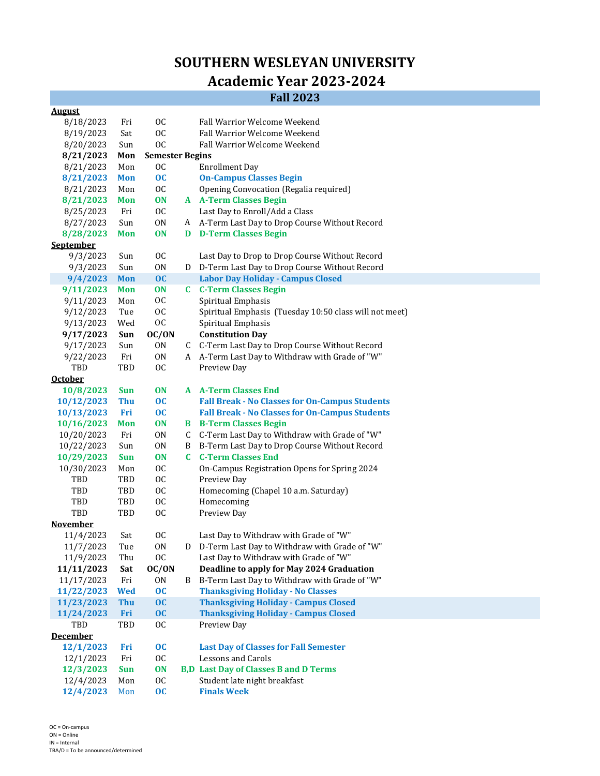## **SOUTHERN WESLEYAN UNIVERSITY Academic Year 2023‐2024**

## **Fall 2023**

| <b>August</b>    |            |                        |    |                                                        |
|------------------|------------|------------------------|----|--------------------------------------------------------|
| 8/18/2023        | Fri        | <sub>0</sub>           |    | Fall Warrior Welcome Weekend                           |
| 8/19/2023        | Sat        | <b>OC</b>              |    | Fall Warrior Welcome Weekend                           |
| 8/20/2023        | Sun        | <b>OC</b>              |    | <b>Fall Warrior Welcome Weekend</b>                    |
| 8/21/2023        | Mon        | <b>Semester Begins</b> |    |                                                        |
| 8/21/2023        | Mon        | <sub>0</sub>           |    | <b>Enrollment Day</b>                                  |
| 8/21/2023        | <b>Mon</b> | oc                     |    | <b>On-Campus Classes Begin</b>                         |
| 8/21/2023        | Mon        | <b>OC</b>              |    | Opening Convocation (Regalia required)                 |
| 8/21/2023        | <b>Mon</b> | <b>ON</b>              |    | <b>A</b> A-Term Classes Begin                          |
| 8/25/2023        | Fri        | <b>OC</b>              |    | Last Day to Enroll/Add a Class                         |
| 8/27/2023        | Sun        | 0 <sub>N</sub>         |    | A A-Term Last Day to Drop Course Without Record        |
| 8/28/2023        | <b>Mon</b> | <b>ON</b>              |    | <b>D</b> D-Term Classes Begin                          |
| <b>September</b> |            |                        |    |                                                        |
| 9/3/2023         | Sun        | <sub>OC</sub>          |    | Last Day to Drop to Drop Course Without Record         |
| 9/3/2023         | Sun        | 0 <sub>N</sub>         |    | D D-Term Last Day to Drop Course Without Record        |
| 9/4/2023         | <b>Mon</b> | OC                     |    | <b>Labor Day Holiday - Campus Closed</b>               |
| 9/11/2023        | Mon        | <b>ON</b>              |    | <b>C</b> C-Term Classes Begin                          |
| 9/11/2023        | Mon        | <sub>0</sub>           |    | Spiritual Emphasis                                     |
| 9/12/2023        | Tue        | <b>OC</b>              |    | Spiritual Emphasis (Tuesday 10:50 class will not meet) |
| 9/13/2023        | Wed        | <b>OC</b>              |    | Spiritual Emphasis                                     |
| 9/17/2023        | Sun        | OC/ON                  |    | <b>Constitution Day</b>                                |
| 9/17/2023        | Sun        | 0 <sub>N</sub>         |    | C C-Term Last Day to Drop Course Without Record        |
| 9/22/2023        | Fri        | 0 <sub>N</sub>         |    | A A-Term Last Day to Withdraw with Grade of "W"        |
| TBD              | TBD        | <sub>0</sub>           |    | Preview Day                                            |
| <b>October</b>   |            |                        |    |                                                        |
| 10/8/2023        | <b>Sun</b> | <b>ON</b>              |    | <b>A</b> A-Term Classes End                            |
| 10/12/2023       | <b>Thu</b> | oc                     |    | <b>Fall Break - No Classes for On-Campus Students</b>  |
| 10/13/2023       | Fri        | oc                     |    | <b>Fall Break - No Classes for On-Campus Students</b>  |
| 10/16/2023       | <b>Mon</b> | <b>ON</b>              |    | <b>B</b> B-Term Classes Begin                          |
| 10/20/2023       | Fri        | 0 <sub>N</sub>         | C  | C-Term Last Day to Withdraw with Grade of "W"          |
| 10/22/2023       | Sun        | 0 <sub>N</sub>         | B  | B-Term Last Day to Drop Course Without Record          |
| 10/29/2023       | <b>Sun</b> | <b>ON</b>              | C. | <b>C-Term Classes End</b>                              |
| 10/30/2023       | Mon        | <sub>0</sub>           |    | On-Campus Registration Opens for Spring 2024           |
| TBD              | TBD        | <b>OC</b>              |    | Preview Day                                            |
| TBD              | TBD        | <b>OC</b>              |    | Homecoming (Chapel 10 a.m. Saturday)                   |
| TBD              | TBD        | <b>OC</b>              |    | Homecoming                                             |
| TBD              | TBD        | <b>OC</b>              |    | Preview Day                                            |
| <b>November</b>  |            |                        |    |                                                        |
| 11/4/2023        | Sat        | <sub>0</sub> C         |    | Last Day to Withdraw with Grade of "W"                 |
| 11/7/2023        | Tue        | 0 <sub>N</sub>         |    | D D-Term Last Day to Withdraw with Grade of "W"        |
| 11/9/2023        | Thu        | 0C                     |    | Last Day to Withdraw with Grade of "W"                 |
| 11/11/2023       | Sat        | OC/ON                  |    | Deadline to apply for May 2024 Graduation              |
| 11/17/2023       | Fri        | 0 <sub>N</sub>         | B  | B-Term Last Day to Withdraw with Grade of "W"          |
| 11/22/2023       | <b>Wed</b> | OC                     |    | <b>Thanksgiving Holiday - No Classes</b>               |
| 11/23/2023       | <b>Thu</b> | OC                     |    | <b>Thanksgiving Holiday - Campus Closed</b>            |
| 11/24/2023       | Fri        | oc                     |    | <b>Thanksgiving Holiday - Campus Closed</b>            |
| TBD              | TBD        | <b>OC</b>              |    | Preview Day                                            |
| <b>December</b>  |            |                        |    |                                                        |
| 12/1/2023        | Fri        | oc                     |    | <b>Last Day of Classes for Fall Semester</b>           |
| 12/1/2023        | Fri        | <b>OC</b>              |    | <b>Lessons and Carols</b>                              |
| 12/3/2023        | <b>Sun</b> | <b>ON</b>              |    | <b>B,D</b> Last Day of Classes B and D Terms           |
| 12/4/2023        | Mon        | <sub>0</sub> C         |    | Student late night breakfast                           |
| 12/4/2023        | Mon        | oc                     |    | <b>Finals Week</b>                                     |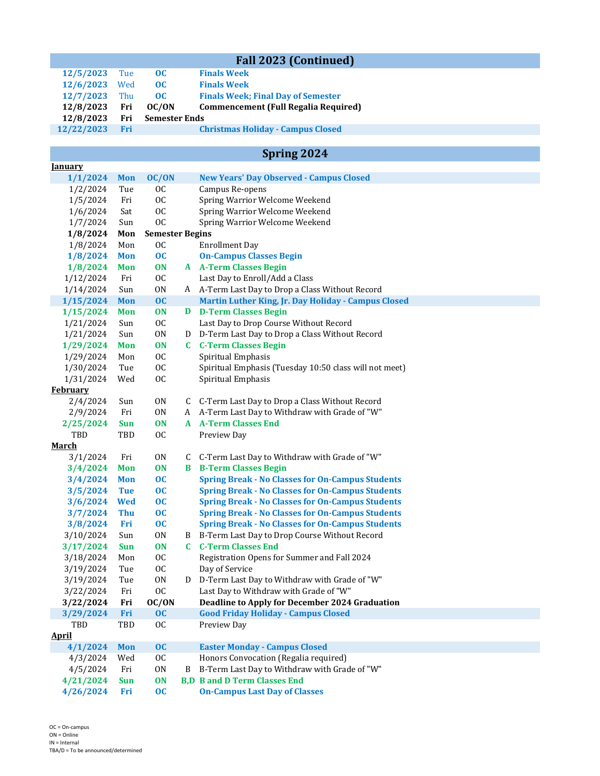| <b>Fall 2023 (Continued)</b> |            |                        |              |                                                                              |  |  |  |  |
|------------------------------|------------|------------------------|--------------|------------------------------------------------------------------------------|--|--|--|--|
| 12/5/2023                    | Tue        | oc                     |              | <b>Finals Week</b>                                                           |  |  |  |  |
| 12/6/2023                    | Wed        | oc                     |              | <b>Finals Week</b>                                                           |  |  |  |  |
| 12/7/2023                    | Thu        | oc                     |              | <b>Finals Week; Final Day of Semester</b>                                    |  |  |  |  |
| 12/8/2023                    | Fri        | OC/ON                  |              | <b>Commencement (Full Regalia Required)</b>                                  |  |  |  |  |
| 12/8/2023                    | Fri        | <b>Semester Ends</b>   |              |                                                                              |  |  |  |  |
| 12/22/2023                   | Fri        |                        |              | <b>Christmas Holiday - Campus Closed</b>                                     |  |  |  |  |
|                              |            |                        |              |                                                                              |  |  |  |  |
| Spring 2024                  |            |                        |              |                                                                              |  |  |  |  |
| <b><u>Ianuary</u></b>        |            |                        |              |                                                                              |  |  |  |  |
| 1/1/2024                     | <b>Mon</b> | OC/ON                  |              | <b>New Years' Day Observed - Campus Closed</b>                               |  |  |  |  |
| 1/2/2024                     | Tue        | <b>OC</b>              |              | Campus Re-opens                                                              |  |  |  |  |
| 1/5/2024                     | Fri        | <b>OC</b>              |              | Spring Warrior Welcome Weekend                                               |  |  |  |  |
| 1/6/2024                     | Sat        | 0C                     |              | Spring Warrior Welcome Weekend                                               |  |  |  |  |
| 1/7/2024                     | Sun        | <b>OC</b>              |              | Spring Warrior Welcome Weekend                                               |  |  |  |  |
| 1/8/2024                     | Mon        | <b>Semester Begins</b> |              |                                                                              |  |  |  |  |
| 1/8/2024                     | Mon        | <sub>0</sub>           |              | <b>Enrollment Day</b>                                                        |  |  |  |  |
| 1/8/2024                     | <b>Mon</b> | oc                     |              | <b>On-Campus Classes Begin</b>                                               |  |  |  |  |
| 1/8/2024                     | Mon        | <b>ON</b>              |              | <b>A</b> A-Term Classes Begin                                                |  |  |  |  |
| 1/12/2024                    | Fri        | 0C                     |              | Last Day to Enroll/Add a Class                                               |  |  |  |  |
| 1/14/2024                    | Sun        | 0 <sub>N</sub>         |              | A A-Term Last Day to Drop a Class Without Record                             |  |  |  |  |
| 1/15/2024                    | <b>Mon</b> | OC                     |              | Martin Luther King, Jr. Day Holiday - Campus Closed                          |  |  |  |  |
| 1/15/2024                    | <b>Mon</b> | <b>ON</b>              |              | <b>D</b> D-Term Classes Begin                                                |  |  |  |  |
| 1/21/2024                    | Sun        | 0C                     |              | Last Day to Drop Course Without Record                                       |  |  |  |  |
| 1/21/2024                    | Sun        | 0 <sub>N</sub>         |              | D D-Term Last Day to Drop a Class Without Record                             |  |  |  |  |
| 1/29/2024                    | <b>Mon</b> | <b>ON</b>              | $\mathbf{c}$ | <b>C-Term Classes Begin</b>                                                  |  |  |  |  |
| 1/29/2024                    | Mon        | 0C                     |              | Spiritual Emphasis                                                           |  |  |  |  |
| 1/30/2024<br>1/31/2024       | Tue<br>Wed | 0C<br>0C               |              | Spiritual Emphasis (Tuesday 10:50 class will not meet)<br>Spiritual Emphasis |  |  |  |  |
| <b>February</b>              |            |                        |              |                                                                              |  |  |  |  |
| 2/4/2024                     | Sun        | 0 <sub>N</sub>         |              | C C-Term Last Day to Drop a Class Without Record                             |  |  |  |  |
| 2/9/2024                     | Fri        | 0N                     |              | A A-Term Last Day to Withdraw with Grade of "W"                              |  |  |  |  |
| 2/25/2024                    | <b>Sun</b> | <b>ON</b>              |              | <b>A</b> A-Term Classes End                                                  |  |  |  |  |
| TBD                          | TBD        | <sub>OC</sub>          |              | Preview Day                                                                  |  |  |  |  |
| March                        |            |                        |              |                                                                              |  |  |  |  |
| 3/1/2024                     | Fri        | 0 <sub>N</sub>         |              | C C-Term Last Day to Withdraw with Grade of "W"                              |  |  |  |  |
| 3/4/2024                     | <b>Mon</b> | <b>ON</b>              | B            | <b>B-Term Classes Begin</b>                                                  |  |  |  |  |
| 3/4/2024                     | <b>Mon</b> | oc                     |              | <b>Spring Break - No Classes for On-Campus Students</b>                      |  |  |  |  |
| 3/5/2024                     | <b>Tue</b> | oc                     |              | <b>Spring Break - No Classes for On-Campus Students</b>                      |  |  |  |  |
| 3/6/2024                     | <b>Wed</b> | oc                     |              | <b>Spring Break - No Classes for On-Campus Students</b>                      |  |  |  |  |
| 3/7/2024                     | <b>Thu</b> | $\overline{OC}$        |              | <b>Spring Break - No Classes for On-Campus Students</b>                      |  |  |  |  |
| 3/8/2024                     | Fri        | $\overline{OC}$        |              | <b>Spring Break - No Classes for On-Campus Students</b>                      |  |  |  |  |
| 3/10/2024                    | Sun        | 0 <sub>N</sub>         | B            | B-Term Last Day to Drop Course Without Record                                |  |  |  |  |
| 3/17/2024                    | <b>Sun</b> | ON                     |              | <b>C</b> C-Term Classes End                                                  |  |  |  |  |
| 3/18/2024                    | Mon        | <b>OC</b>              |              | Registration Opens for Summer and Fall 2024                                  |  |  |  |  |
| 3/19/2024                    | Tue        | <b>OC</b>              |              | Day of Service                                                               |  |  |  |  |
| 3/19/2024                    | Tue        | 0 <sub>N</sub>         | D            | D-Term Last Day to Withdraw with Grade of "W"                                |  |  |  |  |
| 3/22/2024                    | Fri        | $_{0c}$                |              | Last Day to Withdraw with Grade of "W"                                       |  |  |  |  |
| 3/22/2024                    | Fri        | OC/ON                  |              | <b>Deadline to Apply for December 2024 Graduation</b>                        |  |  |  |  |
| 3/29/2024                    | Fri        | OC                     |              | <b>Good Friday Holiday - Campus Closed</b>                                   |  |  |  |  |
| TBD                          | TBD        | <sub>0</sub>           |              | Preview Day                                                                  |  |  |  |  |
| <b>April</b>                 |            |                        |              |                                                                              |  |  |  |  |
| 4/1/2024                     | <b>Mon</b> | OC                     |              | <b>Easter Monday - Campus Closed</b>                                         |  |  |  |  |
| 4/3/2024                     | Wed        | <b>OC</b>              |              | Honors Convocation (Regalia required)                                        |  |  |  |  |
| 4/5/2024                     | Fri        | 0 <sub>N</sub>         | B            | B-Term Last Day to Withdraw with Grade of "W"                                |  |  |  |  |
| 4/21/2024                    | Sun        | <b>ON</b>              |              | <b>B,D B and D Term Classes End</b>                                          |  |  |  |  |
| 4/26/2024                    | Fri        | oc                     |              | <b>On-Campus Last Day of Classes</b>                                         |  |  |  |  |